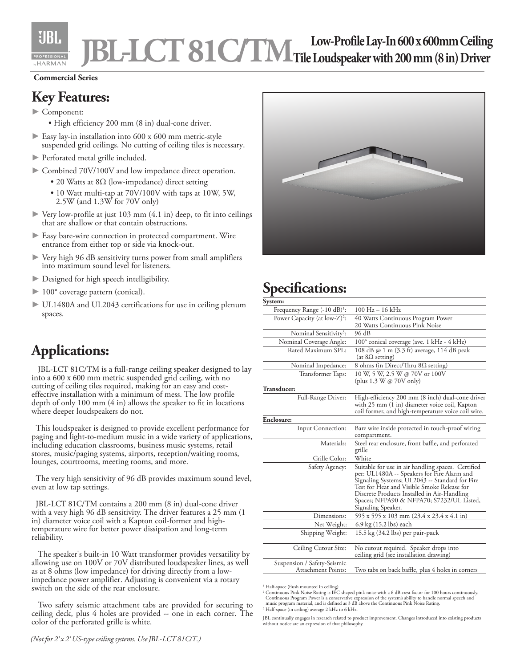

# **JBL-LCT81C/TM Low-ProfileLay-In600x600mmCeiling Tile Loudspeaker with 200 mm (8 in) Driver**

#### **Commercial Series**

#### **Key Features:**

- ► Component:
	- High efficiency 200 mm (8 in) dual-cone driver.
- ► Easy lay-in installation into 600 x 600 mm metric-style suspended grid ceilings. No cutting of ceiling tiles is necessary.
- ► Perforated metal grille included.
- ► Combined 70V/100V and low impedance direct operation.
	- 20 Watts at 8Ω (low-impedance) direct setting
	- 10 Watt multi-tap at 70V/100V with taps at 10W, 5W, 2.5W (and 1.3W for 70V only)
- ► Very low-profile at just 103 mm (4.1 in) deep, to fit into ceilings that are shallow or that contain obstructions.
- ► Easy bare-wire connection in protected compartment. Wire entrance from either top or side via knock-out.
- Very high 96 dB sensitivity turns power from small amplifiers into maximum sound level for listeners.
- ► Designed for high speech intelligibility.
- ► 100° coverage pattern (conical).
- ► UL1480A and UL2043 certifications for use in ceiling plenum spaces.

### **Applications:**

 JBL-LCT 81C/TM is a full-range ceiling speaker designed to lay into a 600 x 600 mm metric suspended grid ceiling, with no cutting of ceiling tiles required, making for an easy and costeffective installation with a minimum of mess. The low profile depth of only 100 mm (4 in) allows the speaker to fit in locations where deeper loudspeakers do not.

 This loudspeaker is designed to provide excellent performance for paging and light-to-medium music in a wide variety of applications, including education classrooms, business music systems, retail stores, music/paging systems, airports, reception/waiting rooms, lounges, courtrooms, meeting rooms, and more.

 The very high sensitivity of 96 dB provides maximum sound level, even at low tap settings.

 JBL-LCT 81C/TM contains a 200 mm (8 in) dual-cone driver with a very high 96 dB sensitivity. The driver features a 25 mm (1 in) diameter voice coil with a Kapton coil-former and hightemperature wire for better power dissipation and long-term reliability.

 The speaker's built-in 10 Watt transformer provides versatility by allowing use on 100V or 70V distributed loudspeaker lines, as well as at 8 ohms (low impedance) for driving directly from a lowimpedance power amplifier. Adjusting is convenient via a rotary switch on the side of the rear enclosure.

Two safety seismic attachment tabs are provided for securing to ceiling deck, plus 4 holes are provided -- one in each corner. The color of the perforated grille is white.



## **Specifications:**

| System:                                           |                                                                                                                                                                                                                                                                                                                      |
|---------------------------------------------------|----------------------------------------------------------------------------------------------------------------------------------------------------------------------------------------------------------------------------------------------------------------------------------------------------------------------|
| Frequency Range $(-10 \text{ dB})^1$ :            | $100 \text{ Hz} - 16 \text{ kHz}$                                                                                                                                                                                                                                                                                    |
| Power Capacity (at low- $Z$ ) <sup>2</sup> :      | 40 Watts Continuous Program Power<br>20 Watts Continuous Pink Noise                                                                                                                                                                                                                                                  |
| Nominal Sensitivity <sup>3</sup> :                | 96 dB                                                                                                                                                                                                                                                                                                                |
| Nominal Coverage Angle:                           | 100° conical coverage (ave. 1 kHz - 4 kHz)                                                                                                                                                                                                                                                                           |
| Rated Maximum SPL:                                | 108 dB @ 1 m (3.3 ft) average, 114 dB peak<br>(at $8\Omega$ setting)                                                                                                                                                                                                                                                 |
| Nominal Impedance:                                | 8 ohms (in Direct/Thru $8\Omega$ setting)                                                                                                                                                                                                                                                                            |
| Transformer Taps:                                 | 10 W, 5 W, 2.5 W @ 70V or 100V<br>(plus $1.3 \text{ W} \omega$ 70V only)                                                                                                                                                                                                                                             |
| Transducer:                                       |                                                                                                                                                                                                                                                                                                                      |
| Full-Range Driver:                                | High-efficiency 200 mm (8 inch) dual-cone driver<br>with 25 mm (1 in) diameter voice coil, Kapton<br>coil former, and high-temperature voice coil wire.                                                                                                                                                              |
| Enclosure:                                        |                                                                                                                                                                                                                                                                                                                      |
| Input Connection:                                 | Bare wire inside protected in touch-proof wiring<br>compartment.                                                                                                                                                                                                                                                     |
| Materials:                                        | Steel rear enclosure, front baffle, and perforated<br>grille                                                                                                                                                                                                                                                         |
| Grille Color:                                     | White                                                                                                                                                                                                                                                                                                                |
| Safety Agency:                                    | Suitable for use in air handling spaces. Certified<br>per: UL1480A -- Speakers for Fire Alarm and<br>Signaling Systems; UL2043 -- Standard for Fire<br>Test for Heat and Visible Smoke Release for<br>Discrete Products Installed in Air-Handling<br>Spaces; NFPA90 & NFPA70; S7232/UL Listed,<br>Signaling Speaker. |
| Dimensions:                                       | 595 x 595 x 103 mm (23.4 x 23.4 x 4.1 in)                                                                                                                                                                                                                                                                            |
| Net Weight:                                       | 6.9 kg (15.2 lbs) each                                                                                                                                                                                                                                                                                               |
| Shipping Weight:                                  | 15.5 kg (34.2 lbs) per pair-pack                                                                                                                                                                                                                                                                                     |
| Ceiling Cutout Size:                              | No cutout required. Speaker drops into<br>ceiling grid (see installation drawing)                                                                                                                                                                                                                                    |
| Suspension / Safety-Seismic<br>Attachment Points: | Two tabs on back baffle, plus 4 holes in corners                                                                                                                                                                                                                                                                     |

1 Half-space (flush mounted in ceiling)

3 Half-space (in ceiling) average 2 kHz to 6 kHz.

<sup>&</sup>lt;sup>2</sup> Continuous Pink Noise Rating is IEC-shaped pink noise with a 6 dB crest factor for 100 hours continuously.<br>Continuous Program Power is a conservative expression of the system's ability to handle normal speech and<br>music

JBL continually engages in research related to product improvement. Changes introduced into existing products without notice are an expression of that philosophy.